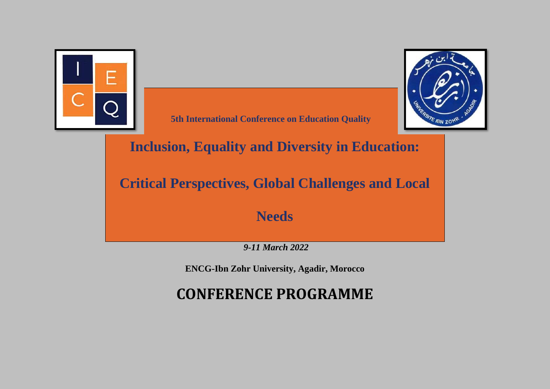



**5th International Conference on Education Quality**

**Inclusion, Equality and Diversity in Education:** 

**Critical Perspectives, Global Challenges and Local** 

**Needs**

*9-11 March 2022*

**ENCG-Ibn Zohr University, Agadir, Morocco** 

**CONFERENCE PROGRAMME**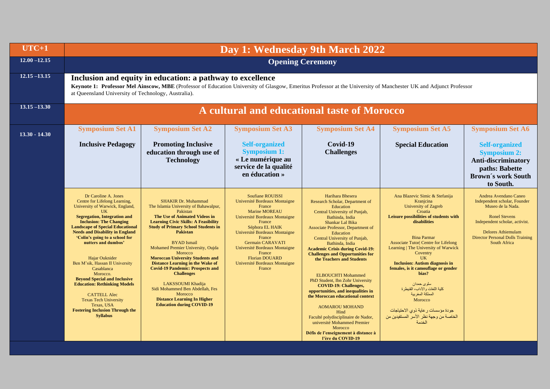| $UTC+1$         | Day 1: Wednesday 9th March 2022                                                                                                                                                                                                                                                                                                                                                                                                                                                                                                                                                                                      |                                                                                                                                                                                                                                                                                                                                                                                                                                                                                                                                                                                                                  |                                                                                                                                                                                                                                                                                                                                               |                                                                                                                                                                                                                                                                                                                                                                                                                                                                                                                                                                                                                                                                                                                              |                                                                                                                                                                                                                                                                                                                                                                                                                                                                                                                                                          |                                                                                                                                                                                                                              |  |
|-----------------|----------------------------------------------------------------------------------------------------------------------------------------------------------------------------------------------------------------------------------------------------------------------------------------------------------------------------------------------------------------------------------------------------------------------------------------------------------------------------------------------------------------------------------------------------------------------------------------------------------------------|------------------------------------------------------------------------------------------------------------------------------------------------------------------------------------------------------------------------------------------------------------------------------------------------------------------------------------------------------------------------------------------------------------------------------------------------------------------------------------------------------------------------------------------------------------------------------------------------------------------|-----------------------------------------------------------------------------------------------------------------------------------------------------------------------------------------------------------------------------------------------------------------------------------------------------------------------------------------------|------------------------------------------------------------------------------------------------------------------------------------------------------------------------------------------------------------------------------------------------------------------------------------------------------------------------------------------------------------------------------------------------------------------------------------------------------------------------------------------------------------------------------------------------------------------------------------------------------------------------------------------------------------------------------------------------------------------------------|----------------------------------------------------------------------------------------------------------------------------------------------------------------------------------------------------------------------------------------------------------------------------------------------------------------------------------------------------------------------------------------------------------------------------------------------------------------------------------------------------------------------------------------------------------|------------------------------------------------------------------------------------------------------------------------------------------------------------------------------------------------------------------------------|--|
| $12.00 - 12.15$ | <b>Opening Ceremony</b>                                                                                                                                                                                                                                                                                                                                                                                                                                                                                                                                                                                              |                                                                                                                                                                                                                                                                                                                                                                                                                                                                                                                                                                                                                  |                                                                                                                                                                                                                                                                                                                                               |                                                                                                                                                                                                                                                                                                                                                                                                                                                                                                                                                                                                                                                                                                                              |                                                                                                                                                                                                                                                                                                                                                                                                                                                                                                                                                          |                                                                                                                                                                                                                              |  |
| $12.15 - 13.15$ | Inclusion and equity in education: a pathway to excellence<br>Keynote 1: Professor Mel Ainscow, MBE (Professor of Education University of Glasgow, Emeritus Professor at the University of Manchester UK and Adjunct Professor<br>at Queensland University of Technology, Australia).                                                                                                                                                                                                                                                                                                                                |                                                                                                                                                                                                                                                                                                                                                                                                                                                                                                                                                                                                                  |                                                                                                                                                                                                                                                                                                                                               |                                                                                                                                                                                                                                                                                                                                                                                                                                                                                                                                                                                                                                                                                                                              |                                                                                                                                                                                                                                                                                                                                                                                                                                                                                                                                                          |                                                                                                                                                                                                                              |  |
| $13.15 - 13.30$ |                                                                                                                                                                                                                                                                                                                                                                                                                                                                                                                                                                                                                      |                                                                                                                                                                                                                                                                                                                                                                                                                                                                                                                                                                                                                  |                                                                                                                                                                                                                                                                                                                                               | A cultural and educational taste of Morocco                                                                                                                                                                                                                                                                                                                                                                                                                                                                                                                                                                                                                                                                                  |                                                                                                                                                                                                                                                                                                                                                                                                                                                                                                                                                          |                                                                                                                                                                                                                              |  |
| $13.30 - 14.30$ | <b>Symposium Set A1</b>                                                                                                                                                                                                                                                                                                                                                                                                                                                                                                                                                                                              | <b>Symposium Set A2</b>                                                                                                                                                                                                                                                                                                                                                                                                                                                                                                                                                                                          | <b>Symposium Set A3</b>                                                                                                                                                                                                                                                                                                                       | <b>Symposium Set A4</b>                                                                                                                                                                                                                                                                                                                                                                                                                                                                                                                                                                                                                                                                                                      | <b>Symposium Set A5</b>                                                                                                                                                                                                                                                                                                                                                                                                                                                                                                                                  | <b>Symposium Set A6</b>                                                                                                                                                                                                      |  |
|                 | <b>Inclusive Pedagogy</b>                                                                                                                                                                                                                                                                                                                                                                                                                                                                                                                                                                                            | <b>Promoting Inclusive</b><br>education through use of<br><b>Technology</b>                                                                                                                                                                                                                                                                                                                                                                                                                                                                                                                                      | <b>Self-organized</b><br><b>Symposium 1:</b><br>« Le numérique au<br>service de la qualité<br>en éducation »                                                                                                                                                                                                                                  | Covid-19<br><b>Challenges</b>                                                                                                                                                                                                                                                                                                                                                                                                                                                                                                                                                                                                                                                                                                | <b>Special Education</b>                                                                                                                                                                                                                                                                                                                                                                                                                                                                                                                                 | <b>Self-organized</b><br><b>Symposium 2:</b><br>Anti-discriminatory<br>paths: Babette<br><b>Brown's work South</b><br>to South.                                                                                              |  |
|                 | Dr Caroline A. Jones<br>Centre for Lifelong Learning,<br>University of Warwick, England,<br>UK<br><b>Segregation, Integration and</b><br><b>Inclusion: The Changing</b><br><b>Landscape of Special Educational</b><br><b>Needs and Disability in England</b><br>'Colin's going to a school for<br>nutters and dumbos'<br>Hajar Ouknider<br>Ben M'sik, Hassan II University<br>Casablanca<br>Morocco.<br><b>Beyond Special and Inclusive</b><br><b>Education: Rethinking Models</b><br><b>CATTELL Alec</b><br><b>Texas Tech University</b><br>Texas, USA<br><b>Fostering Inclusion Through the</b><br><b>Syllabus</b> | <b>SHAKIR Dr. Muhammad</b><br>The Islamia University of Bahawalpur,<br>Pakistan<br><b>The Use of Animated Videos in</b><br><b>Learning Civic Skills: A Feasibility</b><br><b>Study of Primary School Students in</b><br><b>Pakistan</b><br><b>BYAD</b> Ismail<br>Mohamed Premier University, Oujda<br>Morocco<br><b>Moroccan University Students and</b><br><b>Distance Learning in the Wake of</b><br><b>Covid-19 Pandemic: Prospects and</b><br><b>Challenges</b><br>LAKSSOUMI Khadija<br>Sidi Mohammed Ben Abdellah, Fes<br>Morocco<br><b>Distance Learning In Higher</b><br><b>Education during COVID-19</b> | <b>Soufiane ROUISSI</b><br>Université Bordeaux Montaigne<br>France<br><b>Marine MOREAU</b><br>Université Bordeaux Montaigne<br>France<br>Séphora EL HAIK<br>Université Bordeaux Montaigne<br>France<br><b>Germain CARAVATI</b><br>Université Bordeaux Montaigne<br>France<br><b>Florian DOUARD</b><br>Université Bordeaux Montaigne<br>France | Harihara Bhesera<br>Research Scholar, Department of<br>Education<br>Central University of Punjab,<br>Bathinda, India<br>Shankar Lal Bika<br>Associate Professor, Department of<br>Education<br>Central University of Punjab,<br>Bathinda, India<br><b>Academic Crisis during Covid-19:</b><br><b>Challenges and Opportunities for</b><br>the Teachers and Students<br><b>ELBOUCHTI Mohammed</b><br>PhD Student, Ibn Zohr University<br><b>COVID-19: Challenges,</b><br>opportunities, and inequalities in<br>the Moroccan educational context<br><b>AOMAROU MOHAND</b><br>Hind<br>Faculté polydisciplinaire de Nador,<br>université Mohammed Premier<br>Morocco<br>Défis de l'enseignement à distance à<br>l'ère du COVID-19 | Ana Blazevic Simic & Stefanija<br>Kranjcina<br><b>University of Zagreb</b><br>Croatia<br>Leisure possibilities of students with<br>disabilities<br><b>Bina Parmar</b><br><b>Associate Tutor  Centre for Lifelong</b><br>Learning   The University of Warwick<br>Coventry<br><b>UK</b><br><b>Inclusion: Autism diagnosis in</b><br>females, is it camouflage or gender<br>bias?<br>سلوى حمدان<br>كلية اللغات والأداب، القنيطر ة<br>المملكة المغربية<br>Morocco<br>جو دة مؤسسات ر عاية ذو ي الاحتياجات<br>الخاصة من وجهة نظر الأسر المستفيدين من<br>الخدمة | Andrea Avendano Caneo<br>Independent scholar, Founder<br>Museo de la Nada.<br><b>Ronel Stevens</b><br>Independent scholar, activist.<br><b>Delores Athiemulam</b><br><b>Director Personal Dolls Training</b><br>South Africa |  |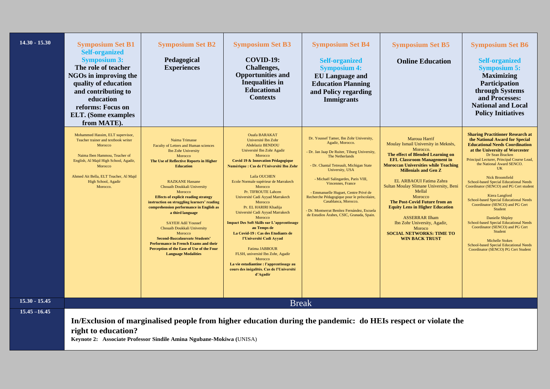| $14.30 - 15.30$ | <b>Symposium Set B1</b><br><b>Self-organized</b><br><b>Symposium 3:</b><br>The role of teacher<br>NGOs in improving the<br>quality of education<br>and contributing to<br>education<br>reforms: Focus on<br><b>ELT.</b> (Some examples<br>from MATE). | <b>Symposium Set B2</b><br>Pedagogical<br><b>Experiences</b>                                                                                                                                                                                                                                                                                                                                                                                                                                                                                                                                                                                | <b>Symposium Set B3</b><br><b>COVID-19:</b><br><b>Challenges,</b><br><b>Opportunities and</b><br><b>Inequalities</b> in<br><b>Educational</b><br><b>Contexts</b>                                                                                                                                                                                                                                                                                                                                                                                                                                                                                                                                                                              | <b>Symposium Set B4</b><br><b>Self-organized</b><br><b>Symposium 4:</b><br><b>EU Language and</b><br><b>Education Planning</b><br>and Policy regarding<br><b>Immigrants</b>                                                                                                                                                                                                                                                                                     | <b>Symposium Set B5</b><br><b>Online Education</b>                                                                                                                                                                                                                                                                                                                                                                                                                                                                            | <b>Symposium Set B6</b><br><b>Self-organized</b><br><b>Symposium 5:</b><br><b>Maximizing</b><br>Participation<br>through Systems<br>and Processes:<br><b>National and Local</b><br><b>Policy Initiatives</b>                                                                                                                                                                                                                                                                                                                                                                                                                                                                                                                  |
|-----------------|-------------------------------------------------------------------------------------------------------------------------------------------------------------------------------------------------------------------------------------------------------|---------------------------------------------------------------------------------------------------------------------------------------------------------------------------------------------------------------------------------------------------------------------------------------------------------------------------------------------------------------------------------------------------------------------------------------------------------------------------------------------------------------------------------------------------------------------------------------------------------------------------------------------|-----------------------------------------------------------------------------------------------------------------------------------------------------------------------------------------------------------------------------------------------------------------------------------------------------------------------------------------------------------------------------------------------------------------------------------------------------------------------------------------------------------------------------------------------------------------------------------------------------------------------------------------------------------------------------------------------------------------------------------------------|-----------------------------------------------------------------------------------------------------------------------------------------------------------------------------------------------------------------------------------------------------------------------------------------------------------------------------------------------------------------------------------------------------------------------------------------------------------------|-------------------------------------------------------------------------------------------------------------------------------------------------------------------------------------------------------------------------------------------------------------------------------------------------------------------------------------------------------------------------------------------------------------------------------------------------------------------------------------------------------------------------------|-------------------------------------------------------------------------------------------------------------------------------------------------------------------------------------------------------------------------------------------------------------------------------------------------------------------------------------------------------------------------------------------------------------------------------------------------------------------------------------------------------------------------------------------------------------------------------------------------------------------------------------------------------------------------------------------------------------------------------|
|                 | Mohammed Hassim, ELT supervisor,<br>Teacher trainer and textbook writer<br>Morocco<br>Naima Iben Hammou, Teacher of<br>English, Al Majd High School, Agadir.<br>Morocco<br>Ahmed Ait Bella, ELT Teacher, Al Majd<br>High School, Agadir<br>Morocco.   | Naima Trimasse<br>Faculty of Letters and Human sciences<br><b>Ibn Zohr University</b><br>Morocco<br>The Use of Reflective Reports in Higher<br><b>Education</b><br><b>RAZKANE Hassane</b><br>Chouaib Doukkali University<br>Morocco<br><b>Effects of explicit reading strategy</b><br>instruction on struggling learners' reading<br>comprehension performance in English as<br>a third language<br><b>SAYEH Adil Youssef</b><br>Chouaib Doukkali University<br>Morocco<br><b>Second-Baccalaureate Students'</b><br><b>Performance in French Exams and their</b><br>Perception of the Ease of Use of the Four<br><b>Language Modalities</b> | <b>Ouafa BARAKAT</b><br>Université Ibn Zohr<br><b>Abdelaziz BENDOU</b><br>Université Ibn Zohr Agadir<br>Morocco<br><b>Covid 19 &amp; Innovation Pédagogique</b><br>Numérique : Cas de l'Université Ibn Zohr<br>Laila OUCHEN<br>Ecole Normale supérieur de Marrakech<br>Morocco<br>Pr. TIFROUTE Lahcen<br>Université Cadi Ayyad Marrakech<br>Morocco<br>Pr. EL HARIRI Khadija<br>Université Cadi Ayyad Marrakech<br>Morocco<br><b>Impact Des Soft Skills sur L'apprentissage</b><br>au Temps de<br>La Covid-19 : Cas des Etudiants de<br>l'Université Cadi Ayyad<br><b>Fatima JABBOUR</b><br>FLSH, université Ibn Zohr, Agadir<br>Morocco<br>La vie estudiantine : l'apprentissage au<br>cours des inégalités. Cas de l'Université<br>d'Agadir | Dr. Youssef Tamer, Ibn Zohr University,<br>Agadir, Morocco.<br>- Dr. Jan Jaap De Ruiter, Tiburg University,<br>The Netherlands<br>- Dr. Chantal Tetreault, Michigan State<br>University, USA<br>- Michaël Salingardes, Paris VIII,<br>Vincennes, France<br>Emmanuelle Huguet, Centre Privé de<br>Recherche Pédagogique pour le préscolaire,<br>Casablanca, Morocco.<br>- Dr. Montserrat Benítez Fernández, Escuela<br>de Estudios Árabes, CSIC, Granada, Spain. | Maroua Harrif<br>Moulay Ismail University in Meknès,<br>Morocco.<br>The effect of Blended Learning on<br><b>EFL Classroom Management in</b><br><b>Moroccan Universities while Teaching</b><br><b>Millenials and Gen Z</b><br>EL ARBAOUI Fatima Zahra<br>Sultan Moulay Slimane University, Beni<br>Mellal<br>Morocco<br>The Post-Covid Future from an<br><b>Equity Lens in Higher Education</b><br><b>ASSERRAR Ilham</b><br>Ibn Zohr University, Agadir,<br>Moroco<br><b>SOCIAL NETWORKS: TIME TO</b><br><b>WIN BACK TRUST</b> | <b>Sharing Practitioner Research at</b><br>the National Award for Special<br><b>Educational Needs Coordination</b><br>at the University of Worcester<br>Dr Sean Bracken<br>Principal Lecturer, Principal Course Lead,<br>the National Award SENCO.<br><b>UK</b><br><b>Nick Broomfield</b><br>School-based Special Educational Needs<br>Coordinator (SENCO) and PG Cert student<br>Kiera Langford<br><b>School-based Special Educational Needs</b><br>Coordinator (SENCO) and PG Cert<br>Student<br><b>Danielle Shipley</b><br>School-based Special Educational Needs<br>Coordinator (SENCO) and PG Cert<br>Student<br><b>Michelle Stokes</b><br>School-based Special Educational Needs<br>Coordinator (SENCO) PG Cert Student |
| $15.30 - 15.45$ |                                                                                                                                                                                                                                                       |                                                                                                                                                                                                                                                                                                                                                                                                                                                                                                                                                                                                                                             | <b>Break</b>                                                                                                                                                                                                                                                                                                                                                                                                                                                                                                                                                                                                                                                                                                                                  |                                                                                                                                                                                                                                                                                                                                                                                                                                                                 |                                                                                                                                                                                                                                                                                                                                                                                                                                                                                                                               |                                                                                                                                                                                                                                                                                                                                                                                                                                                                                                                                                                                                                                                                                                                               |
| $15.45 - 16.45$ | right to education?                                                                                                                                                                                                                                   | Keynote 2: Associate Professor Sindile Amina Ngubane-Mokiwa (UNISA)                                                                                                                                                                                                                                                                                                                                                                                                                                                                                                                                                                         |                                                                                                                                                                                                                                                                                                                                                                                                                                                                                                                                                                                                                                                                                                                                               |                                                                                                                                                                                                                                                                                                                                                                                                                                                                 | In/Exclusion of marginalised people from higher education during the pandemic: do HEIs respect or violate the                                                                                                                                                                                                                                                                                                                                                                                                                 |                                                                                                                                                                                                                                                                                                                                                                                                                                                                                                                                                                                                                                                                                                                               |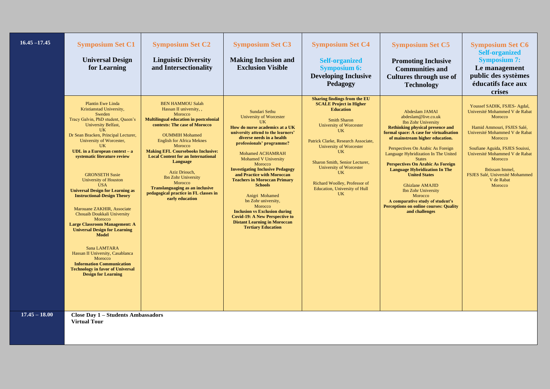| $16.45 - 17.45$ | <b>Symposium Set C1</b><br><b>Universal Design</b><br>for Learning                                                                                                                                                                                                                                                                                                                                                                                                                                                                                                                                                                                                                                                                                                                                       | <b>Symposium Set C2</b><br><b>Linguistic Diversity</b><br>and Intersectionality                                                                                                                                                                                                                                                                                                                                                                                                              | <b>Symposium Set C3</b><br><b>Making Inclusion and</b><br><b>Exclusion Visible</b>                                                                                                                                                                                                                                                                                                                                                                                                                                                                                                                      | <b>Symposium Set C4</b><br><b>Self-organized</b><br><b>Symposium 6:</b><br><b>Developing Inclusive</b><br>Pedagogy                                                                                                                                                                                                                                                                                                    | <b>Symposium Set C5</b><br><b>Promoting Inclusive</b><br><b>Communities and</b><br><b>Cultures through use of</b><br><b>Technology</b>                                                                                                                                                                                                                                                                                                                                                                                                                                           | <b>Symposium Set C6</b><br><b>Self-organized</b><br><b>Symposium 7:</b><br>Le management<br>public des systèmes<br>éducatifs face aux<br>crises                                                                                                                                                                     |
|-----------------|----------------------------------------------------------------------------------------------------------------------------------------------------------------------------------------------------------------------------------------------------------------------------------------------------------------------------------------------------------------------------------------------------------------------------------------------------------------------------------------------------------------------------------------------------------------------------------------------------------------------------------------------------------------------------------------------------------------------------------------------------------------------------------------------------------|----------------------------------------------------------------------------------------------------------------------------------------------------------------------------------------------------------------------------------------------------------------------------------------------------------------------------------------------------------------------------------------------------------------------------------------------------------------------------------------------|---------------------------------------------------------------------------------------------------------------------------------------------------------------------------------------------------------------------------------------------------------------------------------------------------------------------------------------------------------------------------------------------------------------------------------------------------------------------------------------------------------------------------------------------------------------------------------------------------------|-----------------------------------------------------------------------------------------------------------------------------------------------------------------------------------------------------------------------------------------------------------------------------------------------------------------------------------------------------------------------------------------------------------------------|----------------------------------------------------------------------------------------------------------------------------------------------------------------------------------------------------------------------------------------------------------------------------------------------------------------------------------------------------------------------------------------------------------------------------------------------------------------------------------------------------------------------------------------------------------------------------------|---------------------------------------------------------------------------------------------------------------------------------------------------------------------------------------------------------------------------------------------------------------------------------------------------------------------|
|                 | <b>Plantin Ewe Linda</b><br>Kristianstad University,<br>Sweden<br>Tracy Galvin, PhD student, Queen's<br>University Belfast,<br><b>UK</b><br>Dr Sean Bracken, Principal Lecturer,<br>University of Worcester,<br><b>UK</b><br><b>UDL</b> in a European context $-$ a<br>systematic literature review<br><b>GRONSETH Susie</b><br>University of Houston<br><b>USA</b><br><b>Universal Design for Learning as</b><br><b>Instructional-Design Theory</b><br>Marouane ZAKHIR, Associate<br>Chouaib Doukkali University<br>Morocco<br><b>Large Classroom Management: A</b><br><b>Universal Design for Learning</b><br><b>Model</b><br>Sana LAMTARA<br>Hassan II University, Casablanca<br>Morocco<br><b>Information Communication</b><br><b>Technology in favor of Universal</b><br><b>Design for Learning</b> | <b>BEN HAMMOU Salah</b><br>Hassan II university, ,<br>Morocco<br><b>Multilingual education in postcolonial</b><br>contexts: The case of Morocco<br><b>OUMMIH Mohamed</b><br><b>English for Africa Meknes</b><br>Morocco<br><b>Making EFL Coursebooks Inclusive:</b><br><b>Local Content for an International</b><br>Language<br>Aziz Driouch,<br><b>Ibn Zohr University</b><br>Morocco<br><b>Translanguaging as an inclusive</b><br>pedagogical practice in FL classes in<br>early education | Sundari Sethu<br><b>University of Worcester</b><br>UK<br>How do nurse academics at a UK<br>university attend to the learners'<br>diverse needs in a health<br>professionals' programme?<br><b>Mohamed ACHAMRAH</b><br><b>Mohamed V University</b><br>Morocco<br><b>Investigating Inclusive Pedagogy</b><br>and Practice with Moroccan<br><b>Teachers in Moroccan Primary</b><br><b>Schools</b><br>Anigri Mohamed<br>bn Zohr university,<br>Morocco<br><b>Inclusion vs Exclusion during</b><br><b>Covid-19: A New Perspective to</b><br><b>Distant Learning in Moroccan</b><br><b>Tertiary Education</b> | <b>Sharing findings from the EU</b><br><b>SCALE Project in Higher</b><br><b>Education</b><br><b>Smith Sharon</b><br><b>University of Worcester</b><br><b>UK</b><br>Patrick Clarke, Research Associate,<br><b>University of Worcester</b><br><b>UK</b><br>Sharon Smith, Senior Lecturer,<br><b>University of Worcester</b><br><b>UK</b><br>Richard Woolley, Professor of<br>Education, University of Hull<br><b>UK</b> | Abdeslam JAMAI<br>abdeslam@live.co.uk<br><b>Ibn Zohr University</b><br><b>Rethinking physical presence and</b><br>formal space: A case for virtualisation<br>of mainstream higher education.<br>Perspectives On Arabic As Foreign<br>Language Hybridization In The United<br><b>States</b><br><b>Perspectives On Arabic As Foreign</b><br><b>Language Hybridization In The</b><br><b>United States</b><br><b>Ghizlane AMAJID</b><br><b>Ibn Zohr University</b><br>Morocco<br>A comparative study of student's<br><b>Perceptions on online courses: Quality</b><br>and challenges | Youssef SADIK, FSJES- Agdal,<br>Université Mohammed V de Rabat<br>Morocco<br>Hamid Ammouri, FSJES Salé.<br>Université Mohammed V de Rabat<br>Morocco<br>Soufiane Aguida, FSJES Souissi,<br>Université Mohammed V de Rabat<br>Morocco<br>Ibtissam Immel,<br>FSJES Salé, Université Mohammed<br>V de Rabat<br>Morocco |
| $17.45 - 18.00$ | <b>Close Day 1 - Students Ambassadors</b><br><b>Virtual Tour</b>                                                                                                                                                                                                                                                                                                                                                                                                                                                                                                                                                                                                                                                                                                                                         |                                                                                                                                                                                                                                                                                                                                                                                                                                                                                              |                                                                                                                                                                                                                                                                                                                                                                                                                                                                                                                                                                                                         |                                                                                                                                                                                                                                                                                                                                                                                                                       |                                                                                                                                                                                                                                                                                                                                                                                                                                                                                                                                                                                  |                                                                                                                                                                                                                                                                                                                     |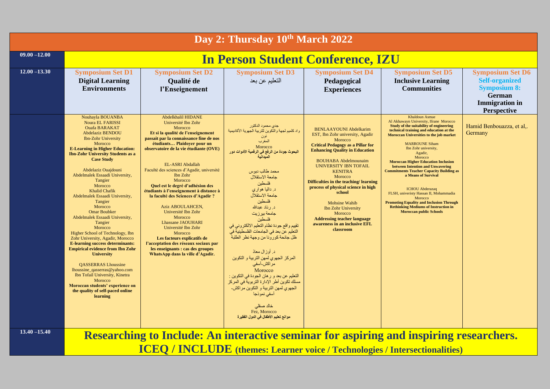| Day 2: Thursday 10th March 2022 |                                                                                                                                                                                                                                                                                                                                                                                                                                                                                                                                                                                                                                                                                                                                                                                                                                                                                     |                                                                                                                                                                                                                                                                                                                                                                                                                                                                                                                                                                                                                                                                                                  |                                                                                                                                                                                                                                                                                                                                                                                                                                                                                                                                                                                                                                                                                                                                                         |                                                                                                                                                                                                                                                                                                                                                                                                                                                                                                |                                                                                                                                                                                                                                                                                                                                                                                                                                                                                                                                                                                                                                                               |                                                                                                                                  |  |  |
|---------------------------------|-------------------------------------------------------------------------------------------------------------------------------------------------------------------------------------------------------------------------------------------------------------------------------------------------------------------------------------------------------------------------------------------------------------------------------------------------------------------------------------------------------------------------------------------------------------------------------------------------------------------------------------------------------------------------------------------------------------------------------------------------------------------------------------------------------------------------------------------------------------------------------------|--------------------------------------------------------------------------------------------------------------------------------------------------------------------------------------------------------------------------------------------------------------------------------------------------------------------------------------------------------------------------------------------------------------------------------------------------------------------------------------------------------------------------------------------------------------------------------------------------------------------------------------------------------------------------------------------------|---------------------------------------------------------------------------------------------------------------------------------------------------------------------------------------------------------------------------------------------------------------------------------------------------------------------------------------------------------------------------------------------------------------------------------------------------------------------------------------------------------------------------------------------------------------------------------------------------------------------------------------------------------------------------------------------------------------------------------------------------------|------------------------------------------------------------------------------------------------------------------------------------------------------------------------------------------------------------------------------------------------------------------------------------------------------------------------------------------------------------------------------------------------------------------------------------------------------------------------------------------------|---------------------------------------------------------------------------------------------------------------------------------------------------------------------------------------------------------------------------------------------------------------------------------------------------------------------------------------------------------------------------------------------------------------------------------------------------------------------------------------------------------------------------------------------------------------------------------------------------------------------------------------------------------------|----------------------------------------------------------------------------------------------------------------------------------|--|--|
| $09.00 - 12.00$                 | <b>In Person Student Conference, IZU</b>                                                                                                                                                                                                                                                                                                                                                                                                                                                                                                                                                                                                                                                                                                                                                                                                                                            |                                                                                                                                                                                                                                                                                                                                                                                                                                                                                                                                                                                                                                                                                                  |                                                                                                                                                                                                                                                                                                                                                                                                                                                                                                                                                                                                                                                                                                                                                         |                                                                                                                                                                                                                                                                                                                                                                                                                                                                                                |                                                                                                                                                                                                                                                                                                                                                                                                                                                                                                                                                                                                                                                               |                                                                                                                                  |  |  |
| $12.00 - 13.30$                 | <b>Symposium Set D1</b><br><b>Digital Learning</b><br><b>Environments</b>                                                                                                                                                                                                                                                                                                                                                                                                                                                                                                                                                                                                                                                                                                                                                                                                           | <b>Symposium Set D2</b><br>Qualité de<br>l'Enseignement                                                                                                                                                                                                                                                                                                                                                                                                                                                                                                                                                                                                                                          | <b>Symposium Set D3</b><br>التعليم عن بعد                                                                                                                                                                                                                                                                                                                                                                                                                                                                                                                                                                                                                                                                                                               | <b>Symposium Set D4</b><br>Pedagogical<br><b>Experiences</b>                                                                                                                                                                                                                                                                                                                                                                                                                                   | <b>Symposium Set D5</b><br><b>Inclusive Learning</b><br><b>Communities</b>                                                                                                                                                                                                                                                                                                                                                                                                                                                                                                                                                                                    | <b>Symposium Set D6</b><br><b>Self-organized</b><br><b>Symposium 8:</b><br>German<br><b>Immigration</b> in<br><b>Perspective</b> |  |  |
|                                 | Nouhayla BOUANBA<br><b>Noura EL FARISSI</b><br><b>Ouafa BARAKAT</b><br><b>Abdelaziz BENDOU</b><br><b>Ibn-Zohr University</b><br>Morocco<br><b>E-Learning in Higher Education:</b><br><b>Ibn-Zohr University Students as a</b><br><b>Case Study</b><br>Abdelaziz Ouajdouni<br>Abdelmalek Essaadi University,<br>Tangier<br>Morocco<br><b>Khalid Chafik</b><br>Abdelmalek Essaadi University,<br>Tangier<br>Morocco<br><b>Omar Boubker</b><br>Abdelmalek Essaadi University.<br>Tangier<br>Morocco<br>Higher School of Technology, Ibn<br>Zohr University, Agadir, Morocco<br><b>E-learning success determinants:</b><br><b>Empirical evidence from Ibn Zohr</b><br><b>University</b><br><b>QASSERRAS Lhoussine</b><br>lhoussine_qasserras@yahoo.com<br>Ibn Tofail University, Kinetra<br>Morocco<br>Moroccan students' experience on<br>the quality of self-paced online<br>learning | Abdelkhalil HIDANE<br>Université Ibn Zohr<br>Morocco<br>Et si la qualité de l'enseignement<br>passait par la connaissance fine de nos<br>étudiants Plaidover pour un<br>observatoire de la vie étudiante (OVE)<br>EL-ASRI Abdallah<br>Faculté des sciences d'Agadir, université<br>Ibn Zohr<br>Morocco<br>Quel est le degré d'adhésion des<br>étudiants à l'enseignement à distance à<br>la faculté des Sciences d'Agadir ?<br>Aziz ABOULAHCEN,<br>Université Ibn Zohr<br>Morocco<br><b>Lhassane JAOUHARI</b><br>Université Ibn Zohr<br>Morocco<br>Les facteurs explicatifs de<br>l'acceptation des réseaux sociaux par<br>les enseignants : cas des groupes<br>WhatsApp dans la ville d'Agadir. | جدي محمود الدكتور<br>واد كلميم لجهة والتكوين للتربية الجهوية الأكاديمية<br>نون<br>المغرب<br>Morocco<br>البحوث جودة من الرفع في الرفمية الأدوات دور<br>الميدانية<br>محمد طالب دبوس<br>جامعة الاستقلال<br>فلسطين<br>د داليا هواري<br>جامعة الاستقلال<br>فلسطين<br>د ر ناد عبدالله<br>جامعة بير زيت<br>فلسطبن<br>تقييم واقع جودة نظام التعليم الالكتروني في<br>التعليم عن بعد في الجامعات الفلسطينية في<br>ظل جائحة كورونا من وجهة نظر الطلبة<br>د. أوزال معاذ<br>المركز الجهوي لمهن التربية و التكوين<br>مرّ اكش۔آسفی<br>Morocco<br>التعليم عن بعد و رهان الجودة في التكوين :<br>مسلك تكوين أطر الإدارة التربوية في المركز<br>الجهوي لمهن التربية و التكوين مرّ اكش۔<br>آسفي نموذجا<br>خالد صقلى<br>Fez, Morocco<br>موانع تعليم الأطفال في الدول الفقير ة | <b>BENLAAYOUNI Abdelkarim</b><br>EST, Ibn Zohr university, Agadir<br>Morocco<br><b>Critical Pedagogy as a Pillar for</b><br><b>Enhancing Quality in Education</b><br><b>BOUHABA</b> Abdelmounaim<br><b>UNIVERSITY IBN TOFAIL</b><br><b>KENITRA</b><br>Morocco<br>Difficulties in the teaching/learning<br>process of physical science in high<br>school<br>Mohsine Wahib<br>Ibn Zohr University<br>Morocco<br><b>Addressing teacher language</b><br>awareness in an inclusive EFL<br>classroom | <b>Khaldoun Asmae</b><br>Al Akhawayn University, Ifrane Morocco<br>Study of the suitability of engineering<br>technical training and education at the<br><b>Moroccan Universities to the job market</b><br><b>MARROUNE Siham</b><br>Ibn Zohr university,<br>Agadir,<br>Morocco<br><b>Moroccan Higher Education Inclusion</b><br>between Intention and Unwavering<br><b>Commitments Teacher Capacity Building as</b><br>a Means of Survival<br><b>ICHOU</b> Abderazaq<br>FLSH, univeristy Hassan II, Mohammadia<br>Morocco<br><b>Promoting Equality and Inclusion Through</b><br><b>Rethinking Mediums of Instruction in</b><br><b>Moroccan public Schools</b> | Hamid Benbouazza, et al,.<br>Germany                                                                                             |  |  |
| $13.40 - 15.40$                 |                                                                                                                                                                                                                                                                                                                                                                                                                                                                                                                                                                                                                                                                                                                                                                                                                                                                                     |                                                                                                                                                                                                                                                                                                                                                                                                                                                                                                                                                                                                                                                                                                  |                                                                                                                                                                                                                                                                                                                                                                                                                                                                                                                                                                                                                                                                                                                                                         |                                                                                                                                                                                                                                                                                                                                                                                                                                                                                                |                                                                                                                                                                                                                                                                                                                                                                                                                                                                                                                                                                                                                                                               |                                                                                                                                  |  |  |
|                                 | Researching to Include: An interactive seminar for aspiring and inspiring researchers.<br><b>ICEQ / INCLUDE</b> (themes: Learner voice / Technologies / Intersectionalities)                                                                                                                                                                                                                                                                                                                                                                                                                                                                                                                                                                                                                                                                                                        |                                                                                                                                                                                                                                                                                                                                                                                                                                                                                                                                                                                                                                                                                                  |                                                                                                                                                                                                                                                                                                                                                                                                                                                                                                                                                                                                                                                                                                                                                         |                                                                                                                                                                                                                                                                                                                                                                                                                                                                                                |                                                                                                                                                                                                                                                                                                                                                                                                                                                                                                                                                                                                                                                               |                                                                                                                                  |  |  |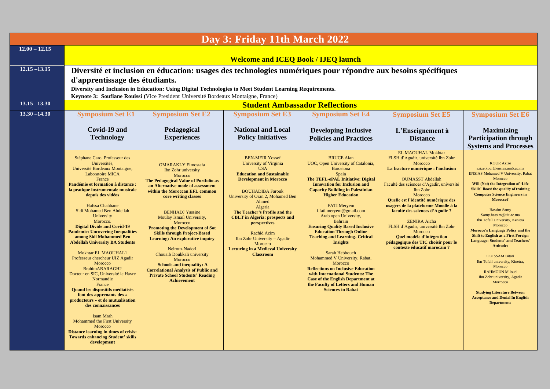| Day 3: Friday 11th March 2022 |                                                                                                                                                                                               |                                                                                        |                                                               |                                                                               |                                                                             |                                                                                        |  |  |
|-------------------------------|-----------------------------------------------------------------------------------------------------------------------------------------------------------------------------------------------|----------------------------------------------------------------------------------------|---------------------------------------------------------------|-------------------------------------------------------------------------------|-----------------------------------------------------------------------------|----------------------------------------------------------------------------------------|--|--|
| $12.00 - 12.15$               |                                                                                                                                                                                               |                                                                                        |                                                               |                                                                               |                                                                             |                                                                                        |  |  |
|                               | <b>Welcome and ICEQ Book / IJEQ launch</b>                                                                                                                                                    |                                                                                        |                                                               |                                                                               |                                                                             |                                                                                        |  |  |
| $12.15 - 13.15$               | Diversité et inclusion en éducation: usages des technologies numériques pour répondre aux besoins spécifiques                                                                                 |                                                                                        |                                                               |                                                                               |                                                                             |                                                                                        |  |  |
|                               | d'apprentissage des étudiants.                                                                                                                                                                |                                                                                        |                                                               |                                                                               |                                                                             |                                                                                        |  |  |
|                               | Diversity and Inclusion in Education: Using Digital Technologies to Meet Student Learning Requirements.<br>Keynote 3: Soufiane Rouissi (Vice President Université Bordeaux Montaigne, France) |                                                                                        |                                                               |                                                                               |                                                                             |                                                                                        |  |  |
| $13.15 - 13.30$               |                                                                                                                                                                                               |                                                                                        | <b>Student Ambassador Reflections</b>                         |                                                                               |                                                                             |                                                                                        |  |  |
| $13.30 - 14.30$               | <b>Symposium Set E1</b>                                                                                                                                                                       | <b>Symposium Set E2</b>                                                                | <b>Symposium Set E3</b>                                       | <b>Symposium Set E4</b>                                                       | <b>Symposium Set E5</b>                                                     | <b>Symposium Set E6</b>                                                                |  |  |
|                               | Covid-19 and                                                                                                                                                                                  | Pedagogical                                                                            | <b>National and Local</b>                                     | <b>Developing Inclusive</b>                                                   | L'Enseignement à                                                            | <b>Maximizing</b>                                                                      |  |  |
|                               | <b>Technology</b>                                                                                                                                                                             | <b>Experiences</b>                                                                     | <b>Policy Initiatives</b>                                     | <b>Policies and Practices</b>                                                 | <b>Distance</b>                                                             | <b>Participation through</b>                                                           |  |  |
|                               |                                                                                                                                                                                               |                                                                                        |                                                               |                                                                               | EL MAOUHAL Mokhtar                                                          | <b>Systems and Processes</b>                                                           |  |  |
|                               | Stéphane Caro, Professeur des<br>Universités,                                                                                                                                                 | <b>OMARAKLY Elmostafa</b>                                                              | <b>BEN-MEIR Yossef</b><br>University of Virginia              | <b>BRUCE Alan</b><br>UOC, Open University of Catalonia,                       | FLSH d'Agadir, université Ibn Zohr<br>Morocco                               | <b>KOUR Azize</b>                                                                      |  |  |
|                               | Université Bordeaux Montaigne,<br>Laboratoire MICA                                                                                                                                            | Ibn Zohr university<br>Morocco                                                         | <b>USA</b><br><b>Education and Sustainable</b>                | <b>Barcelona</b><br>Spain                                                     | La fracture numérique : l'inclusion                                         | azize.kour@ensias.um5.ac.ma<br><b>ENSIAS Mohamed V University, Rabat</b>               |  |  |
|                               | France<br>Pandémie et formation à distance :                                                                                                                                                  | The Pedagogical Value of Portfolio as<br>an Alternative mode of assessment             | <b>Development in Morocco</b>                                 | The TEFL-ePAL Initiative: Digital<br><b>Innovation for Inclusion and</b>      | <b>OUMASST Abdellah</b><br>Faculté des sciences d'Agadir, université        | Morocco<br>Will (Not) the Integration of 'Life                                         |  |  |
|                               | la pratique instrumentale musicale<br>depuis des vidéos                                                                                                                                       | within the Moroccan EFL common<br>core writing classes                                 | <b>BOUHADIBA Farouk</b><br>University of Oran 2, Mohamed Ben  | <b>Capacity Building in Palestinian</b><br><b>Higher Education</b>            | Ibn Zohr<br>Morocco                                                         | <b>Skills' Boost the quality of training</b><br><b>Computer Science Engineers in</b>   |  |  |
|                               | Hafssa Chahbane                                                                                                                                                                               |                                                                                        | Ahmed                                                         | <b>FATI Mervem</b>                                                            | Quelle est l'identité numérique des<br>usagers de la plateforme Moodle à la | Morocco?                                                                               |  |  |
|                               | Sidi Mohamed Ben Abdellah<br>University                                                                                                                                                       | <b>BENHADJ Yassine</b>                                                                 | Algeria<br>The Teacher's Profile and the                      | f.fati.meryem@gmail.com<br>Arab open University,                              | faculté des sciences d'Agadir ?                                             | <b>Hassim Samy</b><br>Samy.hassim@uit.ac.ma                                            |  |  |
|                               | Morocco.                                                                                                                                                                                      | Moulay Ismail University,<br>Morocco                                                   | <b>CBLT</b> in Algeria: prospects and<br>perspectives         | Bahrain                                                                       | <b>ZENIRA</b> Aicha                                                         | Ibn Tofail University, Kenitra<br>Morocco                                              |  |  |
|                               | <b>Digital Divide and Covid-19</b><br><b>Pandemic: Uncovering Inequalities</b>                                                                                                                | <b>Promoting the Development of Sot</b><br><b>Skills through Project-Based</b>         | Rachid Acim                                                   | <b>Ensuring Quality Based Inclusive</b><br><b>Education Through Online</b>    | FLSH d'Agadir, université Ibn Zohr<br>Morocco                               | <b>Morocco's Language Policy and the</b><br><b>Shift to English as a First Foreign</b> |  |  |
|                               | among Sidi Mohammed Ben<br><b>Abdellah University BA Students</b>                                                                                                                             | <b>Learning: An explorative inquiry</b>                                                | Ibn Zohr University - Agadir<br>Morocco                       | <b>Teaching and Learning- Critical</b><br><b>Insights</b>                     | Quel modèle d'intégration<br>pédagogique des TIC choisir pour le            | <b>Language: Students' and Teachers'</b>                                               |  |  |
|                               | <b>Mokhtar EL MAOUHAL1</b>                                                                                                                                                                    | Neirouz Nadori<br>Chouaib Doukkali university                                          | <b>Lecturing in a Medieval University</b><br><b>Classroom</b> | Sarah Hebbouch                                                                | contexte éducatif marocain ?                                                | <b>Attitudes</b>                                                                       |  |  |
|                               | Professeur chercheur UIZ Agadir<br>Morocco                                                                                                                                                    | Morocco<br><b>Schools and inequality: A</b>                                            |                                                               | Mohammed V University, Rabat,<br>Morocco                                      |                                                                             | <b>OUISSAM Bitari</b><br>Ibn Tofail university, Kinetra,                               |  |  |
|                               | BrahimABARAGH2<br>Docteur en SIC, Université le Havre                                                                                                                                         | <b>Correlational Analysis of Public and</b><br><b>Private School Students' Reading</b> |                                                               | <b>Reflections on Inclusive Education</b><br>with International Students: The |                                                                             | Morocco<br><b>RAHMOUN Miloud</b>                                                       |  |  |
|                               | Normandie<br>France                                                                                                                                                                           | <b>Achievement</b>                                                                     |                                                               | <b>Case of the English Department at</b><br>the Faculty of Letters and Human  |                                                                             | Ibn Zohr university, Agadir<br>Morrocco                                                |  |  |
|                               | Quand les dispositifs médiatisés<br>font des apprenants des «                                                                                                                                 |                                                                                        |                                                               | <b>Sciences in Rabat</b>                                                      |                                                                             | <b>Studying Literature Between</b>                                                     |  |  |
|                               | producteurs » et de mutualisation<br>des connaissances                                                                                                                                        |                                                                                        |                                                               |                                                                               |                                                                             | <b>Acceptance and Denial In English</b><br><b>Departments</b>                          |  |  |
|                               |                                                                                                                                                                                               |                                                                                        |                                                               |                                                                               |                                                                             |                                                                                        |  |  |
|                               | <b>Isam Mrah</b><br>Mohammed the First University                                                                                                                                             |                                                                                        |                                                               |                                                                               |                                                                             |                                                                                        |  |  |
|                               | Morocco<br><b>Distance learning in times of crisis:</b>                                                                                                                                       |                                                                                        |                                                               |                                                                               |                                                                             |                                                                                        |  |  |
|                               | <b>Towards enhancing Student' skills</b><br>development                                                                                                                                       |                                                                                        |                                                               |                                                                               |                                                                             |                                                                                        |  |  |
|                               |                                                                                                                                                                                               |                                                                                        |                                                               |                                                                               |                                                                             |                                                                                        |  |  |